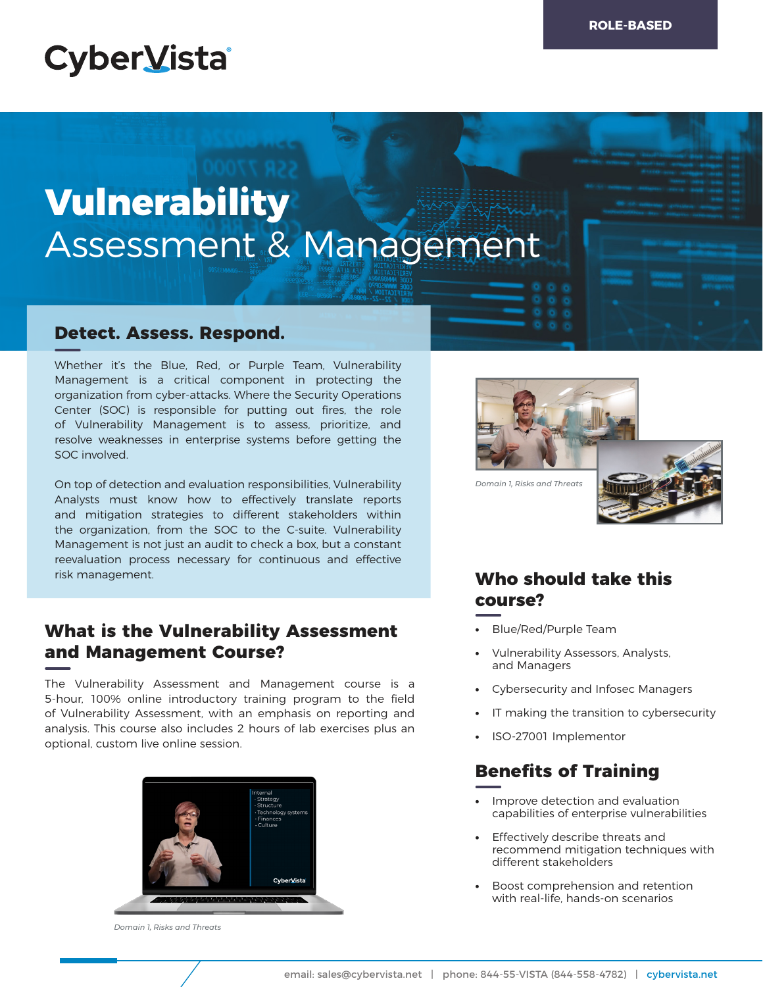# **CyberVista**

# **Vulnerability**  Assessment & Management

### **Detect. Assess. Respond.**

Whether it's the Blue, Red, or Purple Team, Vulnerability Management is a critical component in protecting the organization from cyber-attacks. Where the Security Operations Center (SOC) is responsible for putting out fires, the role of Vulnerability Management is to assess, prioritize, and resolve weaknesses in enterprise systems before getting the SOC involved.

On top of detection and evaluation responsibilities, Vulnerability Analysts must know how to effectively translate reports and mitigation strategies to different stakeholders within the organization, from the SOC to the C-suite. Vulnerability Management is not just an audit to check a box, but a constant reevaluation process necessary for continuous and effective risk management.

## **What is the Vulnerability Assessment and Management Course?**

The Vulnerability Assessment and Management course is a 5-hour, 100% online introductory training program to the field of Vulnerability Assessment, with an emphasis on reporting and analysis. This course also includes 2 hours of lab exercises plus an optional, custom live online session.



*Domain 1, Risks and Threats*



*Domain 1, Risks and Threats*



# **Who should take this course?**

- **•** Blue/Red/Purple Team
- **•** Vulnerability Assessors, Analysts, and Managers
- **•** Cybersecurity and Infosec Managers
- **•** IT making the transition to cybersecurity
- **•** ISO-27001 Implementor

# **Benefits of Training**

- **•** Improve detection and evaluation capabilities of enterprise vulnerabilities
- **•** Effectively describe threats and recommend mitigation techniques with different stakeholders
- **•** Boost comprehension and retention with real-life, hands-on scenarios